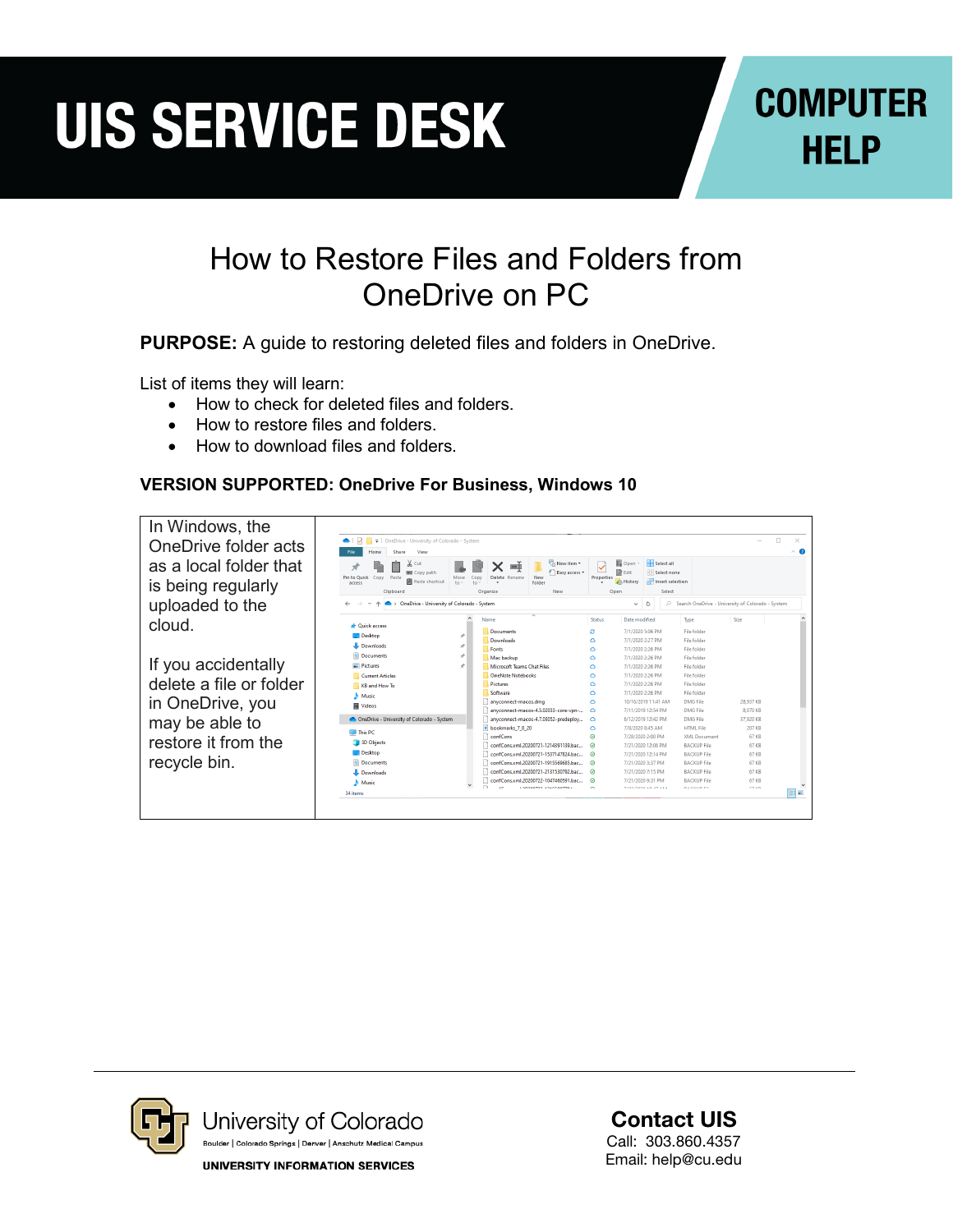# **UIS SERVICE DESK**

### **COMPUTER HELP**

#### How to Restore Files and Folders from OneDrive on PC

**PURPOSE:** A guide to restoring deleted files and folders in OneDrive.

List of items they will learn:

- How to check for deleted files and folders.
- How to restore files and folders
- How to download files and folders.

#### **VERSION SUPPORTED: OneDrive For Business, Windows 10**





Contact UIS

Call: 303.860.4357 Email: help@cu.edu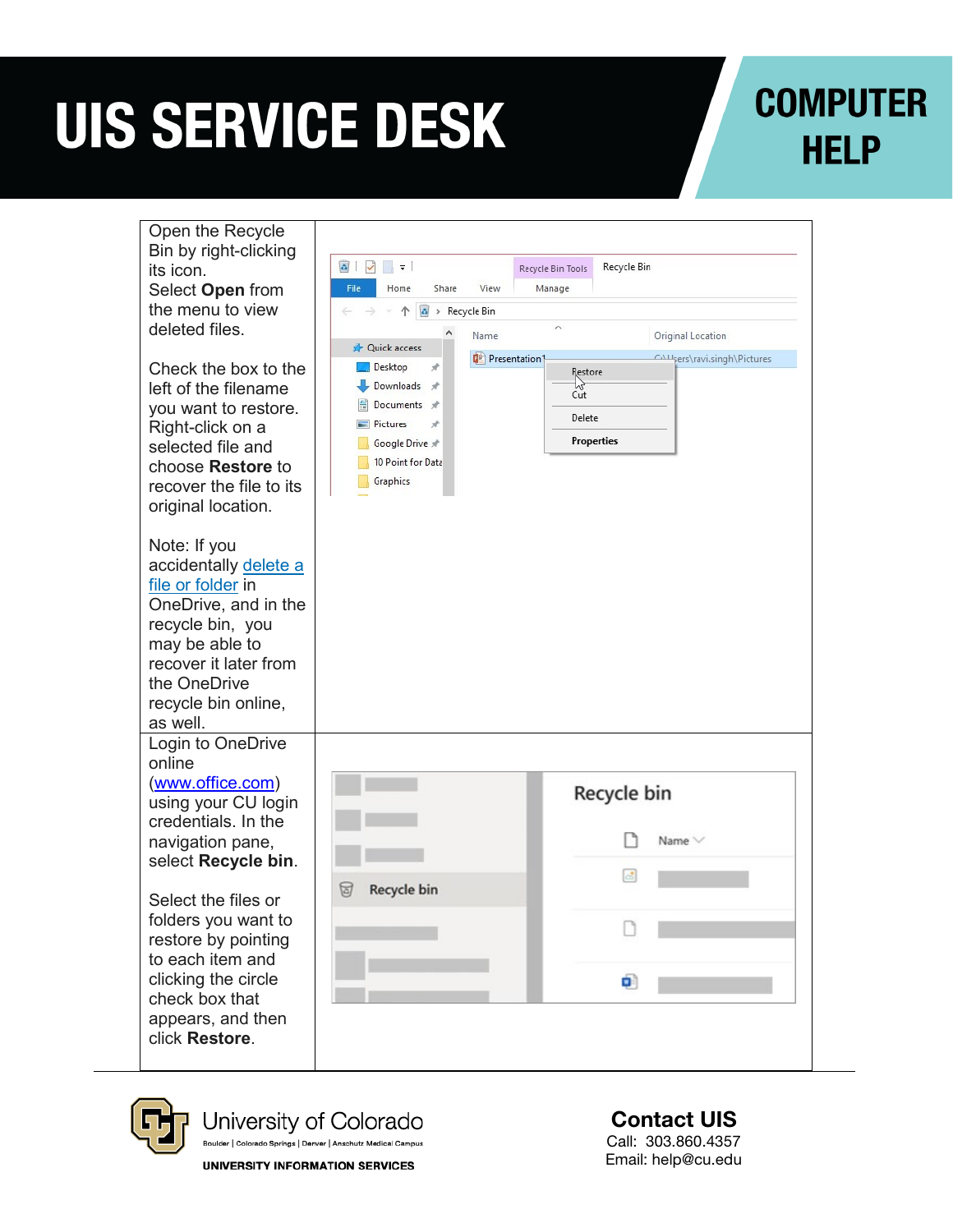# **UIS SERVICE DESK**

## **COMPUTER HELP**

| Open the Recycle<br>Bin by right-clicking<br>its icon.<br>Select Open from<br>the menu to view                                                                                                       | $\frac{1}{2}$<br>$\overline{\phantom{a}}$<br>Recycle Bin<br>Recycle Bin Tools<br>File<br>View<br>Manage<br>Home<br>Share<br>$\mathcal{L}_{\mathbf{a}}$<br>> Recycle Bin<br>个 |                         |                                                     |                               |
|------------------------------------------------------------------------------------------------------------------------------------------------------------------------------------------------------|------------------------------------------------------------------------------------------------------------------------------------------------------------------------------|-------------------------|-----------------------------------------------------|-------------------------------|
| deleted files.                                                                                                                                                                                       | Quick access                                                                                                                                                                 | Name                    | $\wedge$                                            | Original Location             |
| Check the box to the<br>left of the filename<br>you want to restore.<br>Right-click on a<br>selected file and<br>choose Restore to<br>recover the file to its<br>original location.                  | Desktop<br>Downloads *<br>Documents *<br>Pictures<br>À<br>Google Drive *<br>10 Point for Data<br>Graphics                                                                    | <b>DE Presentation1</b> | Restore<br>hť<br>Cut<br>Delete<br><b>Properties</b> | CALL sers\ravi.singh\Pictures |
| Note: If you<br>accidentally delete a<br>file or folder in<br>OneDrive, and in the<br>recycle bin, you<br>may be able to<br>recover it later from<br>the OneDrive<br>recycle bin online,<br>as well. |                                                                                                                                                                              |                         |                                                     |                               |
| Login to OneDrive<br>online                                                                                                                                                                          |                                                                                                                                                                              |                         |                                                     |                               |
| (www.office.com)<br>using your CU login<br>credentials. In the<br>navigation pane,<br>select Recycle bin.                                                                                            |                                                                                                                                                                              |                         | Recycle bin<br>$\sim$                               | Name $\vee$                   |
| Select the files or<br>folders you want to<br>restore by pointing<br>to each item and<br>clicking the circle<br>check box that<br>appears, and then<br>click Restore.                                | <b>Recycle bin</b><br>চ্য                                                                                                                                                    |                         |                                                     |                               |
|                                                                                                                                                                                                      |                                                                                                                                                                              |                         | Ó)                                                  |                               |



University of Colorado Boulder | Colorado Springs | Denver | Anschutz Medical Campus

**UNIVERSITY INFORMATION SERVICES** 

Contact UIS Call: 303.860.4357 Email : help@cu.edu